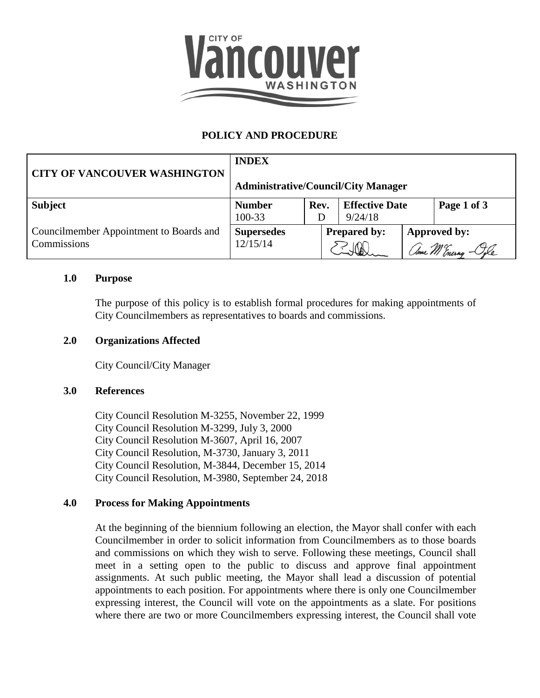

# **POLICY AND PROCEDURE**

| <b>CITY OF VANCOUVER WASHINGTON</b>                    | <b>INDEX</b><br><b>Administrative/Council/City Manager</b> |      |                                  |  |                              |  |
|--------------------------------------------------------|------------------------------------------------------------|------|----------------------------------|--|------------------------------|--|
| <b>Subject</b>                                         | <b>Number</b><br>100-33                                    | Rev. | <b>Effective Date</b><br>9/24/18 |  | Page 1 of 3                  |  |
| Councilmember Appointment to Boards and<br>Commissions | <b>Supersedes</b><br>12/15/14                              |      | <b>Prepared by:</b>              |  | Approved by:<br>ame M Enerny |  |

#### **1.0 Purpose**

The purpose of this policy is to establish formal procedures for making appointments of City Councilmembers as representatives to boards and commissions.

#### **2.0 Organizations Affected**

City Council/City Manager

#### **3.0 References**

City Council Resolution M-3255, November 22, 1999 City Council Resolution M-3299, July 3, 2000 City Council Resolution M-3607, April 16, 2007 City Council Resolution, M-3730, January 3, 2011 City Council Resolution, M-3844, December 15, 2014 City Council Resolution, M-3980, September 24, 2018

#### **4.0 Process for Making Appointments**

At the beginning of the biennium following an election, the Mayor shall confer with each Councilmember in order to solicit information from Councilmembers as to those boards and commissions on which they wish to serve. Following these meetings, Council shall meet in a setting open to the public to discuss and approve final appointment assignments. At such public meeting, the Mayor shall lead a discussion of potential appointments to each position. For appointments where there is only one Councilmember expressing interest, the Council will vote on the appointments as a slate. For positions where there are two or more Councilmembers expressing interest, the Council shall vote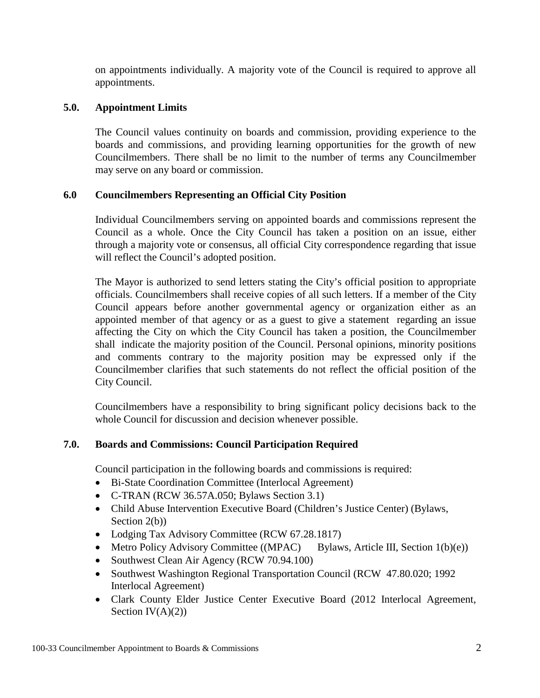on appointments individually. A majority vote of the Council is required to approve all appointments.

## **5.0. Appointment Limits**

The Council values continuity on boards and commission, providing experience to the boards and commissions, and providing learning opportunities for the growth of new Councilmembers. There shall be no limit to the number of terms any Councilmember may serve on any board or commission.

## **6.0 Councilmembers Representing an Official City Position**

Individual Councilmembers serving on appointed boards and commissions represent the Council as a whole. Once the City Council has taken a position on an issue, either through a majority vote or consensus, all official City correspondence regarding that issue will reflect the Council's adopted position.

The Mayor is authorized to send letters stating the City's official position to appropriate officials. Councilmembers shall receive copies of all such letters. If a member of the City Council appears before another governmental agency or organization either as an appointed member of that agency or as a guest to give a statement regarding an issue affecting the City on which the City Council has taken a position, the Councilmember shall indicate the majority position of the Council. Personal opinions, minority positions and comments contrary to the majority position may be expressed only if the Councilmember clarifies that such statements do not reflect the official position of the City Council.

Councilmembers have a responsibility to bring significant policy decisions back to the whole Council for discussion and decision whenever possible.

## **7.0. Boards and Commissions: Council Participation Required**

Council participation in the following boards and commissions is required:

- Bi-State Coordination Committee (Interlocal Agreement)
- C-TRAN (RCW 36.57A.050; Bylaws Section 3.1)
- Child Abuse Intervention Executive Board (Children's Justice Center) (Bylaws, Section 2(b))
- Lodging Tax Advisory Committee (RCW 67.28.1817)
- Metro Policy Advisory Committee ((MPAC) Bylaws, Article III, Section  $1(b)(e)$ )
- Southwest Clean Air Agency (RCW 70.94.100)
- Southwest Washington Regional Transportation Council (RCW 47.80.020; 1992) Interlocal Agreement)
- Clark County Elder Justice Center Executive Board (2012 Interlocal Agreement, Section  $IV(A)(2)$